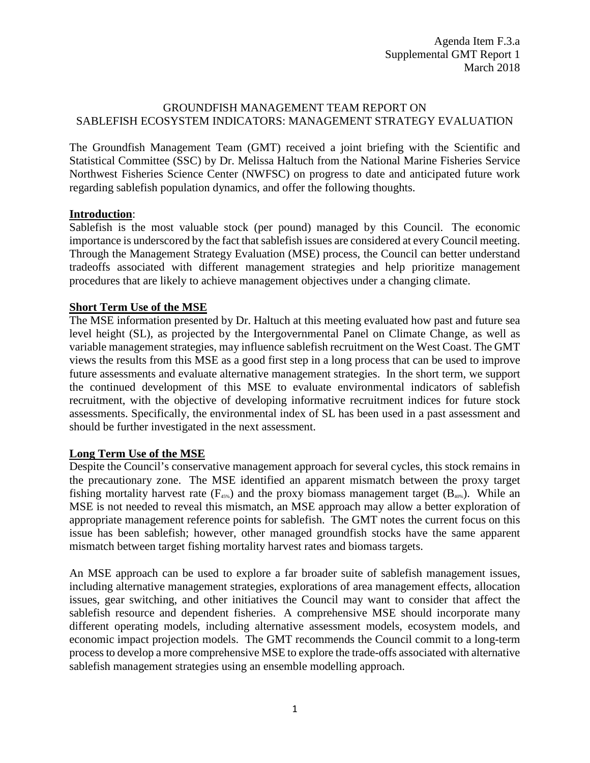## GROUNDFISH MANAGEMENT TEAM REPORT ON SABLEFISH ECOSYSTEM INDICATORS: MANAGEMENT STRATEGY EVALUATION

The Groundfish Management Team (GMT) received a joint briefing with the Scientific and Statistical Committee (SSC) by Dr. Melissa Haltuch from the National Marine Fisheries Service Northwest Fisheries Science Center (NWFSC) on progress to date and anticipated future work regarding sablefish population dynamics, and offer the following thoughts.

## **Introduction**:

Sablefish is the most valuable stock (per pound) managed by this Council. The economic importance is underscored by the fact that sablefish issues are considered at every Council meeting. Through the Management Strategy Evaluation (MSE) process, the Council can better understand tradeoffs associated with different management strategies and help prioritize management procedures that are likely to achieve management objectives under a changing climate.

## **Short Term Use of the MSE**

The MSE information presented by Dr. Haltuch at this meeting evaluated how past and future sea level height (SL), as projected by the Intergovernmental Panel on Climate Change, as well as variable management strategies, may influence sablefish recruitment on the West Coast. The GMT views the results from this MSE as a good first step in a long process that can be used to improve future assessments and evaluate alternative management strategies. In the short term, we support the continued development of this MSE to evaluate environmental indicators of sablefish recruitment, with the objective of developing informative recruitment indices for future stock assessments. Specifically, the environmental index of SL has been used in a past assessment and should be further investigated in the next assessment.

## **Long Term Use of the MSE**

Despite the Council's conservative management approach for several cycles, this stock remains in the precautionary zone. The MSE identified an apparent mismatch between the proxy target fishing mortality harvest rate  $(F_{45\%})$  and the proxy biomass management target  $(B_{40\%})$ . While an MSE is not needed to reveal this mismatch, an MSE approach may allow a better exploration of appropriate management reference points for sablefish. The GMT notes the current focus on this issue has been sablefish; however, other managed groundfish stocks have the same apparent mismatch between target fishing mortality harvest rates and biomass targets.

An MSE approach can be used to explore a far broader suite of sablefish management issues, including alternative management strategies, explorations of area management effects, allocation issues, gear switching, and other initiatives the Council may want to consider that affect the sablefish resource and dependent fisheries. A comprehensive MSE should incorporate many different operating models, including alternative assessment models, ecosystem models, and economic impact projection models. The GMT recommends the Council commit to a long-term process to develop a more comprehensive MSE to explore the trade-offs associated with alternative sablefish management strategies using an ensemble modelling approach.